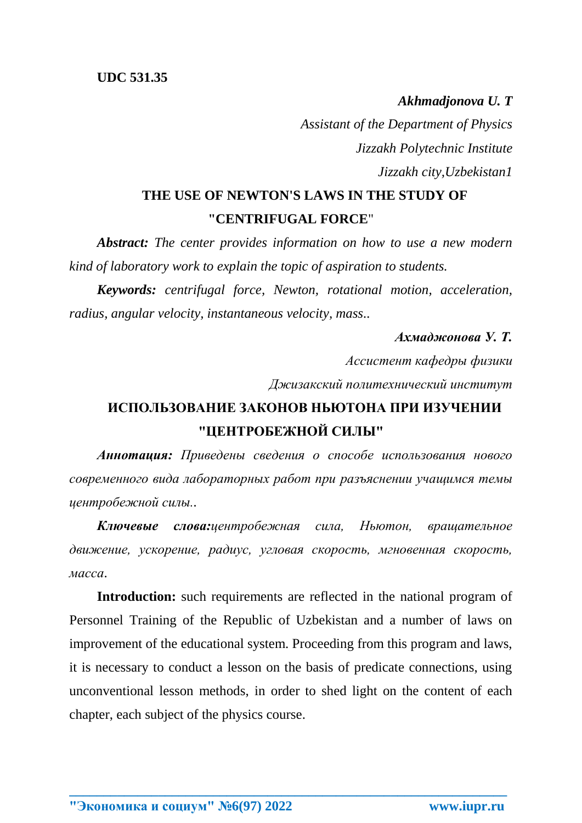*Akhmadjonova U. T Assistant of the Department of Physics Jizzakh Polytechnic Institute Jizzakh city,Uzbekistan1*

## **THE USE OF NEWTON'S LAWS IN THE STUDY OF "CENTRIFUGAL FORCE**"

*Abstract: The center provides information on how to use a new modern kind of laboratory work to explain the topic of aspiration to students.*

*Keywords: centrifugal force, Newton, rotational motion, acceleration, radius, angular velocity, instantaneous velocity, mass..*

## *Ахмаджонова У. Т.*

*Ассистент кафедры физики*

*Джизакский политехнический институт*

## **ИСПОЛЬЗОВАНИЕ ЗАКОНОВ НЬЮТОНА ПРИ ИЗУЧЕНИИ "ЦЕНТРОБЕЖНОЙ СИЛЫ"**

*Аннотация: Приведены сведения о способе использования нового современного вида лабораторных работ при разъяснении учащимся темы центробежной силы..*

*Ключевые слова:центробежная сила, Ньютон, вращательное движение, ускорение, радиус, угловая скорость, мгновенная скорость, масса*.

**Introduction:** such requirements are reflected in the national program of Personnel Training of the Republic of Uzbekistan and a number of laws on improvement of the educational system. Proceeding from this program and laws, it is necessary to conduct a lesson on the basis of predicate connections, using unconventional lesson methods, in order to shed light on the content of each chapter, each subject of the physics course.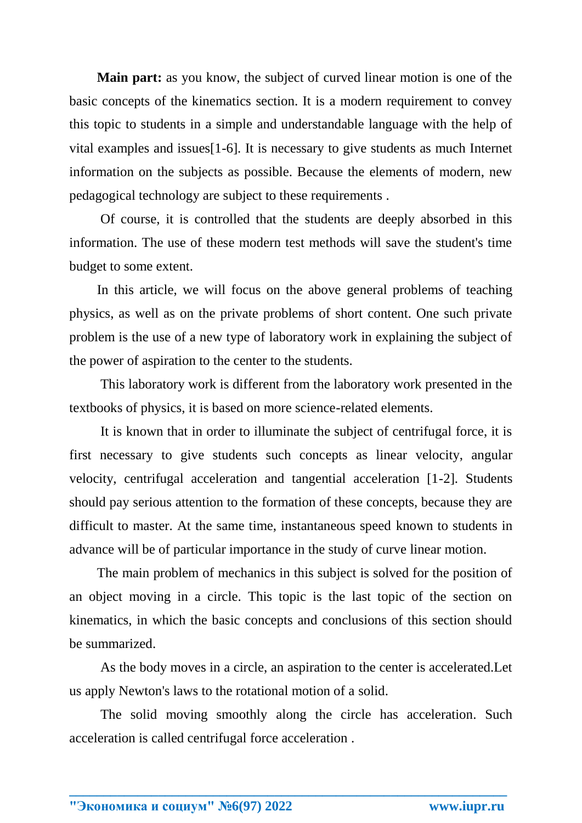**Main part:** as you know, the subject of curved linear motion is one of the basic concepts of the kinematics section. It is a modern requirement to convey this topic to students in a simple and understandable language with the help of vital examples and issues[1-6]. It is necessary to give students as much Internet information on the subjects as possible. Because the elements of modern, new pedagogical technology are subject to these requirements .

Of course, it is controlled that the students are deeply absorbed in this information. The use of these modern test methods will save the student's time budget to some extent.

In this article, we will focus on the above general problems of teaching physics, as well as on the private problems of short content. One such private problem is the use of a new type of laboratory work in explaining the subject of the power of aspiration to the center to the students.

This laboratory work is different from the laboratory work presented in the textbooks of physics, it is based on more science-related elements.

It is known that in order to illuminate the subject of centrifugal force, it is first necessary to give students such concepts as linear velocity, angular velocity, centrifugal acceleration and tangential acceleration [1-2]. Students should pay serious attention to the formation of these concepts, because they are difficult to master. At the same time, instantaneous speed known to students in advance will be of particular importance in the study of curve linear motion.

The main problem of mechanics in this subject is solved for the position of an object moving in a circle. This topic is the last topic of the section on kinematics, in which the basic concepts and conclusions of this section should be summarized.

As the body moves in a circle, an aspiration to the center is accelerated.Let us apply Newton's laws to the rotational motion of a solid.

The solid moving smoothly along the circle has acceleration. Such acceleration is called centrifugal force acceleration .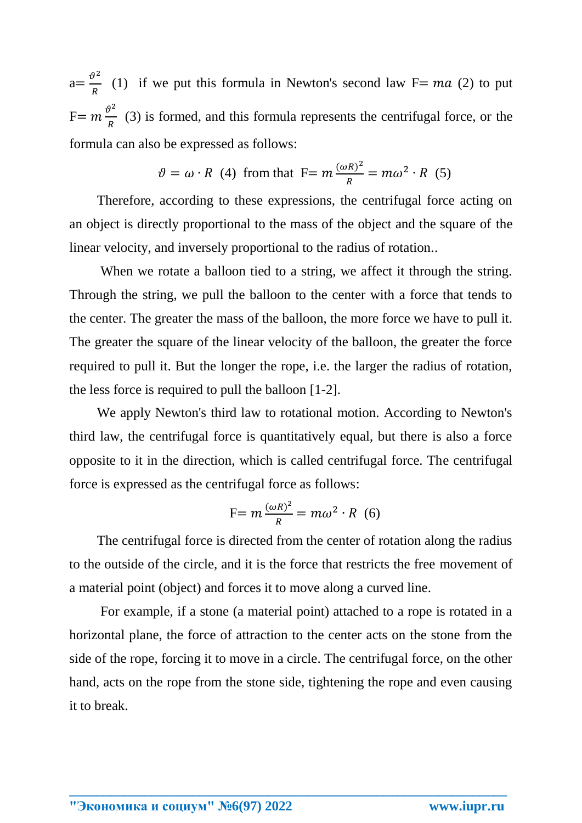$a=\frac{\vartheta^2}{R}$ (1) if we put this formula in Newton's second law  $F= ma$  (2) to put  $F=m\frac{\vartheta^2}{R}$  $\frac{f}{R}$  (3) is formed, and this formula represents the centrifugal force, or the formula can also be expressed as follows:

$$
\vartheta = \omega \cdot R
$$
 (4) from that  $F = m \frac{(\omega R)^2}{R} = m \omega^2 \cdot R$  (5)

Therefore, according to these expressions, the centrifugal force acting on an object is directly proportional to the mass of the object and the square of the linear velocity, and inversely proportional to the radius of rotation..

When we rotate a balloon tied to a string, we affect it through the string. Through the string, we pull the balloon to the center with a force that tends to the center. The greater the mass of the balloon, the more force we have to pull it. The greater the square of the linear velocity of the balloon, the greater the force required to pull it. But the longer the rope, i.e. the larger the radius of rotation, the less force is required to pull the balloon [1-2].

We apply Newton's third law to rotational motion. According to Newton's third law, the centrifugal force is quantitatively equal, but there is also a force opposite to it in the direction, which is called centrifugal force. The centrifugal force is expressed as the centrifugal force as follows:

$$
F = m \frac{(\omega R)^2}{R} = m \omega^2 \cdot R \quad (6)
$$

The centrifugal force is directed from the center of rotation along the radius to the outside of the circle, and it is the force that restricts the free movement of a material point (object) and forces it to move along a curved line.

For example, if a stone (a material point) attached to a rope is rotated in a horizontal plane, the force of attraction to the center acts on the stone from the side of the rope, forcing it to move in a circle. The centrifugal force, on the other hand, acts on the rope from the stone side, tightening the rope and even causing it to break.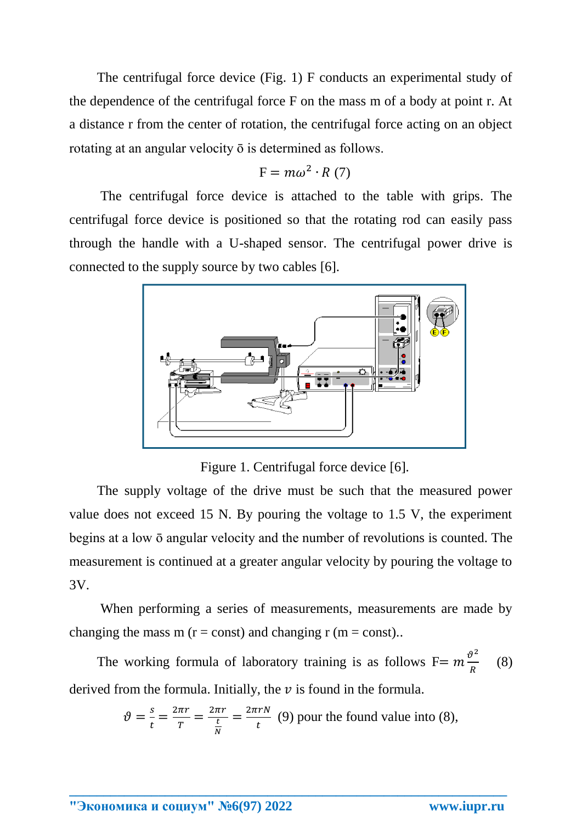The centrifugal force device (Fig. 1) F conducts an experimental study of the dependence of the centrifugal force F on the mass m of a body at point r. At a distance r from the center of rotation, the centrifugal force acting on an object rotating at an angular velocity ō is determined as follows.

$$
F = m\omega^2 \cdot R(7)
$$

The centrifugal force device is attached to the table with grips. The centrifugal force device is positioned so that the rotating rod can easily pass through the handle with a U-shaped sensor. The centrifugal power drive is connected to the supply source by two cables [6].



Figure 1. Centrifugal force device [6].

The supply voltage of the drive must be such that the measured power value does not exceed 15 N. By pouring the voltage to 1.5 V, the experiment begins at a low ō angular velocity and the number of revolutions is counted. The measurement is continued at a greater angular velocity by pouring the voltage to 3V.

When performing a series of measurements, measurements are made by changing the mass m ( $r = const$ ) and changing r ( $m = const$ )..

The working formula of laboratory training is as follows  $F = m \frac{\vartheta^2}{R}$  $\boldsymbol{R}$  (8) derived from the formula. Initially, the  $\nu$  is found in the formula.

$$
\vartheta = \frac{s}{t} = \frac{2\pi r}{T} = \frac{2\pi r}{\frac{t}{N}} = \frac{2\pi r}{t}
$$
 (9) pour the found value into (8),